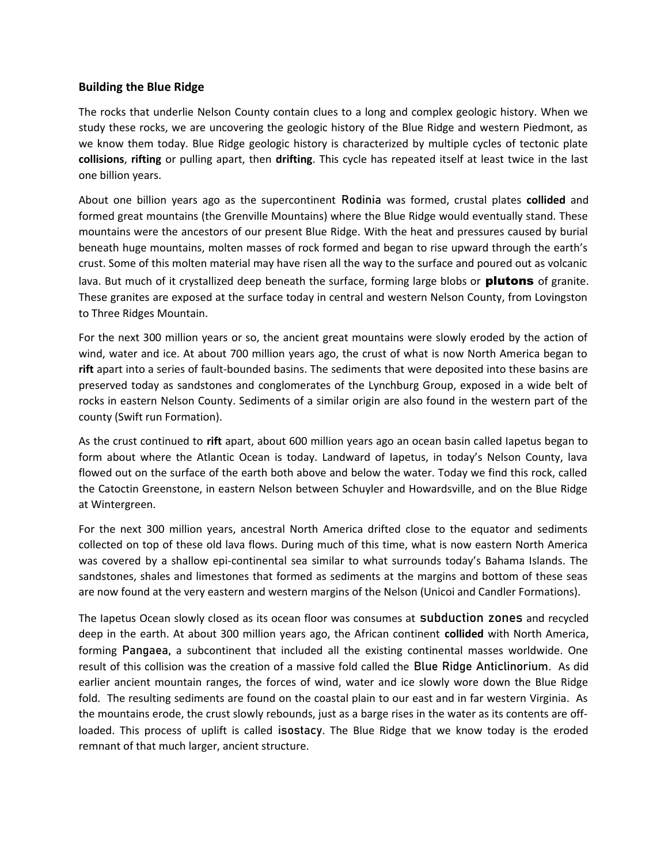## **Building the Blue Ridge**

The rocks that underlie Nelson County contain clues to a long and complex geologic history. When we study these rocks, we are uncovering the geologic history of the Blue Ridge and western Piedmont, as we know them today. Blue Ridge geologic history is characterized by multiple cycles of tectonic plate **collisions**, **rifting** or pulling apart, then **drifting**. This cycle has repeated itself at least twice in the last one billion years.

About one billion years ago as the supercontinent Rodinia was formed, crustal plates **collided** and formed great mountains (the Grenville Mountains) where the Blue Ridge would eventually stand. These mountains were the ancestors of our present Blue Ridge. With the heat and pressures caused by burial beneath huge mountains, molten masses of rock formed and began to rise upward through the earth's crust. Some of this molten material may have risen all the way to the surface and poured out as volcanic lava. But much of it crystallized deep beneath the surface, forming large blobs or **plutons** of granite. These granites are exposed at the surface today in central and western Nelson County, from Lovingston to Three Ridges Mountain.

For the next 300 million years or so, the ancient great mountains were slowly eroded by the action of wind, water and ice. At about 700 million years ago, the crust of what is now North America began to **rift** apart into a series of fault-bounded basins. The sediments that were deposited into these basins are preserved today as sandstones and conglomerates of the Lynchburg Group, exposed in a wide belt of rocks in eastern Nelson County. Sediments of a similar origin are also found in the western part of the county (Swift run Formation).

As the crust continued to **rift** apart, about 600 million years ago an ocean basin called Iapetus began to form about where the Atlantic Ocean is today. Landward of Iapetus, in today's Nelson County, lava flowed out on the surface of the earth both above and below the water. Today we find this rock, called the Catoctin Greenstone, in eastern Nelson between Schuyler and Howardsville, and on the Blue Ridge at Wintergreen.

For the next 300 million years, ancestral North America drifted close to the equator and sediments collected on top of these old lava flows. During much of this time, what is now eastern North America was covered by a shallow epi-continental sea similar to what surrounds today's Bahama Islands. The sandstones, shales and limestones that formed as sediments at the margins and bottom of these seas are now found at the very eastern and western margins of the Nelson (Unicoi and Candler Formations).

The Iapetus Ocean slowly closed as its ocean floor was consumes at subduction zones and recycled deep in the earth. At about 300 million years ago, the African continent **collided** with North America, forming Pangaea, a subcontinent that included all the existing continental masses worldwide. One result of this collision was the creation of a massive fold called the Blue Ridge Anticlinorium. As did earlier ancient mountain ranges, the forces of wind, water and ice slowly wore down the Blue Ridge fold. The resulting sediments are found on the coastal plain to our east and in far western Virginia. As the mountains erode, the crust slowly rebounds, just as a barge rises in the water as its contents are offloaded. This process of uplift is called isostacy. The Blue Ridge that we know today is the eroded remnant of that much larger, ancient structure.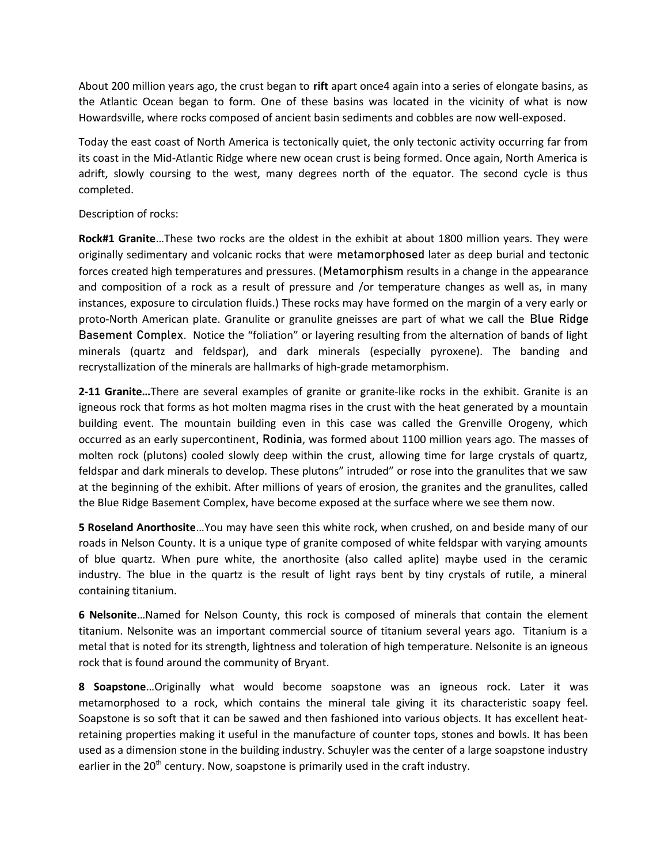About 200 million years ago, the crust began to **rift** apart once4 again into a series of elongate basins, as the Atlantic Ocean began to form. One of these basins was located in the vicinity of what is now Howardsville, where rocks composed of ancient basin sediments and cobbles are now well-exposed.

Today the east coast of North America is tectonically quiet, the only tectonic activity occurring far from its coast in the Mid-Atlantic Ridge where new ocean crust is being formed. Once again, North America is adrift, slowly coursing to the west, many degrees north of the equator. The second cycle is thus completed.

## Description of rocks:

**Rock#1 Granite**…These two rocks are the oldest in the exhibit at about 1800 million years. They were originally sedimentary and volcanic rocks that were metamorphosed later as deep burial and tectonic forces created high temperatures and pressures. (Metamorphism results in a change in the appearance and composition of a rock as a result of pressure and /or temperature changes as well as, in many instances, exposure to circulation fluids.) These rocks may have formed on the margin of a very early or proto-North American plate. Granulite or granulite gneisses are part of what we call the Blue Ridge Basement Complex. Notice the "foliation" or layering resulting from the alternation of bands of light minerals (quartz and feldspar), and dark minerals (especially pyroxene). The banding and recrystallization of the minerals are hallmarks of high-grade metamorphism.

**2-11 Granite…**There are several examples of granite or granite-like rocks in the exhibit. Granite is an igneous rock that forms as hot molten magma rises in the crust with the heat generated by a mountain building event. The mountain building even in this case was called the Grenville Orogeny, which occurred as an early supercontinent, Rodinia, was formed about 1100 million years ago. The masses of molten rock (plutons) cooled slowly deep within the crust, allowing time for large crystals of quartz, feldspar and dark minerals to develop. These plutons" intruded" or rose into the granulites that we saw at the beginning of the exhibit. After millions of years of erosion, the granites and the granulites, called the Blue Ridge Basement Complex, have become exposed at the surface where we see them now.

**5 Roseland Anorthosite**…You may have seen this white rock, when crushed, on and beside many of our roads in Nelson County. It is a unique type of granite composed of white feldspar with varying amounts of blue quartz. When pure white, the anorthosite (also called aplite) maybe used in the ceramic industry. The blue in the quartz is the result of light rays bent by tiny crystals of rutile, a mineral containing titanium.

**6 Nelsonite**…Named for Nelson County, this rock is composed of minerals that contain the element titanium. Nelsonite was an important commercial source of titanium several years ago. Titanium is a metal that is noted for its strength, lightness and toleration of high temperature. Nelsonite is an igneous rock that is found around the community of Bryant.

**8 Soapstone**…Originally what would become soapstone was an igneous rock. Later it was metamorphosed to a rock, which contains the mineral tale giving it its characteristic soapy feel. Soapstone is so soft that it can be sawed and then fashioned into various objects. It has excellent heatretaining properties making it useful in the manufacture of counter tops, stones and bowls. It has been used as a dimension stone in the building industry. Schuyler was the center of a large soapstone industry earlier in the  $20<sup>th</sup>$  century. Now, soapstone is primarily used in the craft industry.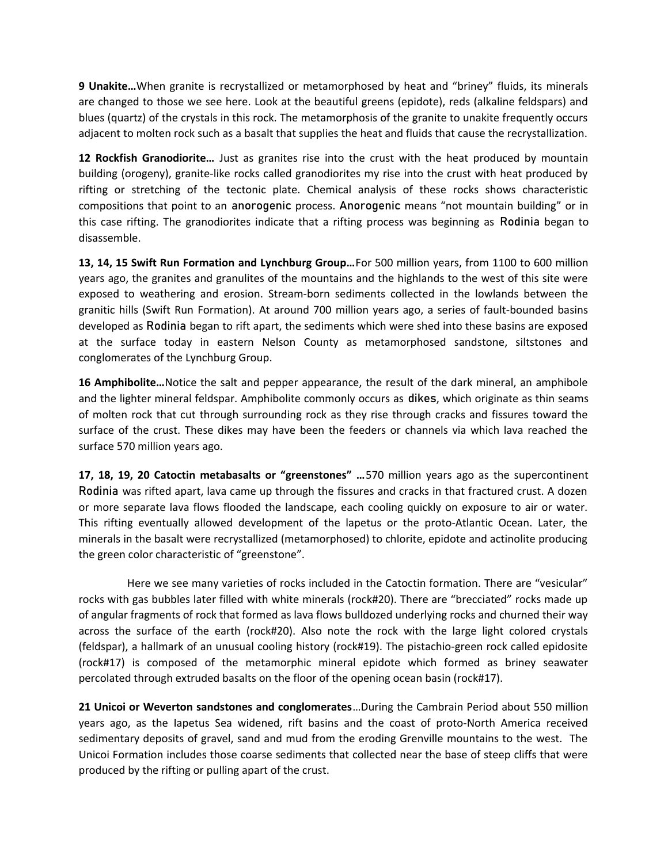**9 Unakite…**When granite is recrystallized or metamorphosed by heat and "briney" fluids, its minerals are changed to those we see here. Look at the beautiful greens (epidote), reds (alkaline feldspars) and blues (quartz) of the crystals in this rock. The metamorphosis of the granite to unakite frequently occurs adjacent to molten rock such as a basalt that supplies the heat and fluids that cause the recrystallization.

**12 Rockfish Granodiorite…** Just as granites rise into the crust with the heat produced by mountain building (orogeny), granite-like rocks called granodiorites my rise into the crust with heat produced by rifting or stretching of the tectonic plate. Chemical analysis of these rocks shows characteristic compositions that point to an anorogenic process. Anorogenic means "not mountain building" or in this case rifting. The granodiorites indicate that a rifting process was beginning as Rodinia began to disassemble.

**13, 14, 15 Swift Run Formation and Lynchburg Group…**For 500 million years, from 1100 to 600 million years ago, the granites and granulites of the mountains and the highlands to the west of this site were exposed to weathering and erosion. Stream-born sediments collected in the lowlands between the granitic hills (Swift Run Formation). At around 700 million years ago, a series of fault-bounded basins developed as Rodinia began to rift apart, the sediments which were shed into these basins are exposed at the surface today in eastern Nelson County as metamorphosed sandstone, siltstones and conglomerates of the Lynchburg Group.

**16 Amphibolite…**Notice the salt and pepper appearance, the result of the dark mineral, an amphibole and the lighter mineral feldspar. Amphibolite commonly occurs as dikes, which originate as thin seams of molten rock that cut through surrounding rock as they rise through cracks and fissures toward the surface of the crust. These dikes may have been the feeders or channels via which lava reached the surface 570 million years ago.

**17, 18, 19, 20 Catoctin metabasalts or "greenstones" …**570 million years ago as the supercontinent Rodinia was rifted apart, lava came up through the fissures and cracks in that fractured crust. A dozen or more separate lava flows flooded the landscape, each cooling quickly on exposure to air or water. This rifting eventually allowed development of the lapetus or the proto-Atlantic Ocean. Later, the minerals in the basalt were recrystallized (metamorphosed) to chlorite, epidote and actinolite producing the green color characteristic of "greenstone".

 Here we see many varieties of rocks included in the Catoctin formation. There are "vesicular" rocks with gas bubbles later filled with white minerals (rock#20). There are "brecciated" rocks made up of angular fragments of rock that formed as lava flows bulldozed underlying rocks and churned their way across the surface of the earth (rock#20). Also note the rock with the large light colored crystals (feldspar), a hallmark of an unusual cooling history (rock#19). The pistachio-green rock called epidosite (rock#17) is composed of the metamorphic mineral epidote which formed as briney seawater percolated through extruded basalts on the floor of the opening ocean basin (rock#17).

**21 Unicoi or Weverton sandstones and conglomerates**…During the Cambrain Period about 550 million years ago, as the Iapetus Sea widened, rift basins and the coast of proto-North America received sedimentary deposits of gravel, sand and mud from the eroding Grenville mountains to the west. The Unicoi Formation includes those coarse sediments that collected near the base of steep cliffs that were produced by the rifting or pulling apart of the crust.